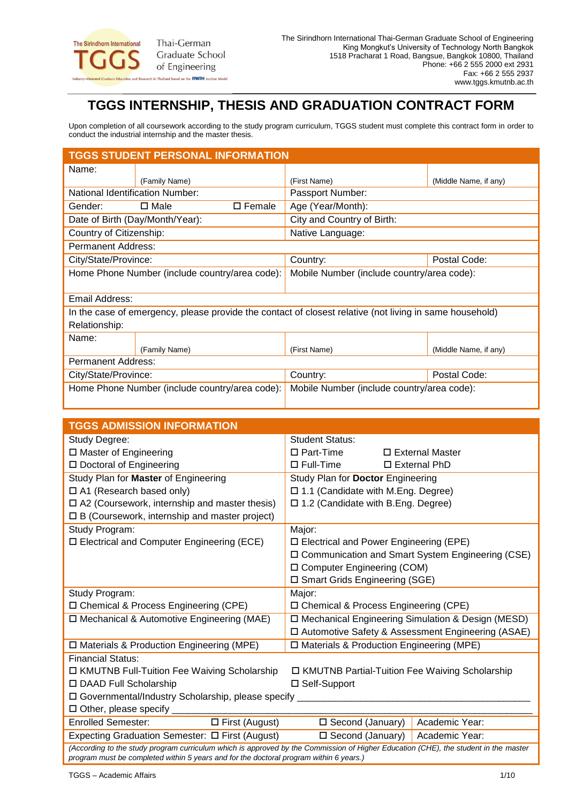

# **TGGS INTERNSHIP, THESIS AND GRADUATION CONTRACT FORM**

Upon completion of all coursework according to the study program curriculum, TGGS student must complete this contract form in order to conduct the industrial internship and the master thesis.

| <b>TGGS STUDENT PERSONAL INFORMATION</b>                                                                |                                    |                                            |                       |  |
|---------------------------------------------------------------------------------------------------------|------------------------------------|--------------------------------------------|-----------------------|--|
| Name:                                                                                                   |                                    |                                            |                       |  |
|                                                                                                         | (Family Name)                      | (First Name)                               | (Middle Name, if any) |  |
| National Identification Number:                                                                         |                                    | Passport Number:                           |                       |  |
| Gender:                                                                                                 | $\square$ Female<br>$\square$ Male | Age (Year/Month):                          |                       |  |
| Date of Birth (Day/Month/Year):                                                                         |                                    | City and Country of Birth:                 |                       |  |
| Country of Citizenship:                                                                                 |                                    | Native Language:                           |                       |  |
| Permanent Address:                                                                                      |                                    |                                            |                       |  |
| City/State/Province:                                                                                    |                                    | Country:                                   | Postal Code:          |  |
| Home Phone Number (include country/area code):                                                          |                                    | Mobile Number (include country/area code): |                       |  |
|                                                                                                         |                                    |                                            |                       |  |
| Email Address:                                                                                          |                                    |                                            |                       |  |
| In the case of emergency, please provide the contact of closest relative (not living in same household) |                                    |                                            |                       |  |
| Relationship:                                                                                           |                                    |                                            |                       |  |
| Name:                                                                                                   |                                    |                                            |                       |  |
|                                                                                                         | (Family Name)                      | (First Name)                               | (Middle Name, if any) |  |
| Permanent Address:                                                                                      |                                    |                                            |                       |  |
| City/State/Province:                                                                                    |                                    | Country:                                   | Postal Code:          |  |
| Home Phone Number (include country/area code):                                                          |                                    | Mobile Number (include country/area code): |                       |  |
|                                                                                                         |                                    |                                            |                       |  |

| <b>TGGS ADMISSION INFORMATION</b>                                                                                                   |                                                     |  |                        |
|-------------------------------------------------------------------------------------------------------------------------------------|-----------------------------------------------------|--|------------------------|
| Study Degree:                                                                                                                       | <b>Student Status:</b>                              |  |                        |
| □ Master of Engineering                                                                                                             | $\square$ Part-Time                                 |  | $\Box$ External Master |
| □ Doctoral of Engineering                                                                                                           | $\square$ Full-Time                                 |  | $\Box$ External PhD    |
| Study Plan for Master of Engineering                                                                                                | Study Plan for Doctor Engineering                   |  |                        |
| □ A1 (Research based only)                                                                                                          | □ 1.1 (Candidate with M.Eng. Degree)                |  |                        |
| $\Box$ A2 (Coursework, internship and master thesis)                                                                                | □ 1.2 (Candidate with B.Eng. Degree)                |  |                        |
| $\Box$ B (Coursework, internship and master project)                                                                                |                                                     |  |                        |
| Study Program:                                                                                                                      | Major:                                              |  |                        |
| □ Electrical and Computer Engineering (ECE)                                                                                         | □ Electrical and Power Engineering (EPE)            |  |                        |
|                                                                                                                                     | □ Communication and Smart System Engineering (CSE)  |  |                        |
|                                                                                                                                     | □ Computer Engineering (COM)                        |  |                        |
|                                                                                                                                     | □ Smart Grids Engineering (SGE)                     |  |                        |
| Study Program:                                                                                                                      | Major:                                              |  |                        |
| □ Chemical & Process Engineering (CPE)                                                                                              | □ Chemical & Process Engineering (CPE)              |  |                        |
| □ Mechanical & Automotive Engineering (MAE)                                                                                         | □ Mechanical Engineering Simulation & Design (MESD) |  |                        |
|                                                                                                                                     | □ Automotive Safety & Assessment Engineering (ASAE) |  |                        |
| □ Materials & Production Engineering (MPE)                                                                                          | □ Materials & Production Engineering (MPE)          |  |                        |
| <b>Financial Status:</b>                                                                                                            |                                                     |  |                        |
| □ KMUTNB Full-Tuition Fee Waiving Scholarship                                                                                       | □ KMUTNB Partial-Tuition Fee Waiving Scholarship    |  |                        |
| □ DAAD Full Scholarship                                                                                                             | □ Self-Support                                      |  |                        |
| □ Governmental/Industry Scholarship, please specify _                                                                               |                                                     |  |                        |
| $\Box$ Other, please specify _                                                                                                      |                                                     |  |                        |
| <b>Enrolled Semester:</b><br>$\Box$ First (August)                                                                                  | $\square$ Second (January)                          |  | Academic Year:         |
| Expecting Graduation Semester: $\Box$ First (August)                                                                                | $\Box$ Second (January)                             |  | Academic Year:         |
| (According to the study program curriculum which is approved by the Commission of Higher Education (CHE), the student in the master |                                                     |  |                        |
| program must be completed within 5 years and for the doctoral program within 6 years.)                                              |                                                     |  |                        |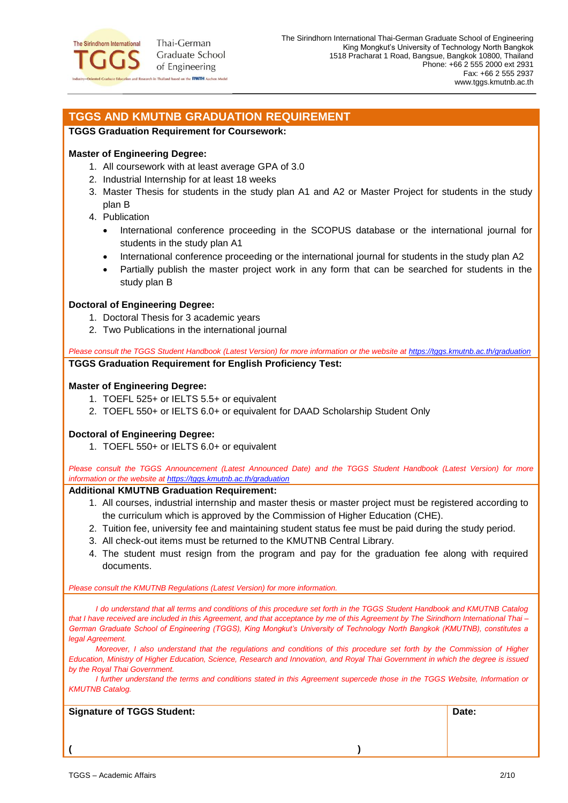

Thai-German Graduate School of Engineering n Thailand based on the **RWTH** Aachen Model

## **TGGS AND KMUTNB GRADUATION REQUIREMENT**

### **TGGS Graduation Requirement for Coursework:**

### **Master of Engineering Degree:**

- 1. All coursework with at least average GPA of 3.0
- 2. Industrial Internship for at least 18 weeks
- 3. Master Thesis for students in the study plan A1 and A2 or Master Project for students in the study plan B
- 4. Publication
	- International conference proceeding in the SCOPUS database or the international journal for students in the study plan A1
	- International conference proceeding or the international journal for students in the study plan A2
	- Partially publish the master project work in any form that can be searched for students in the study plan B

### **Doctoral of Engineering Degree:**

- 1. Doctoral Thesis for 3 academic years
- 2. Two Publications in the international journal

*Please consult the TGGS Student Handbook (Latest Version) for more information or the website a[t https://tggs.kmutnb.ac.th/graduation](https://tggs.kmutnb.ac.th/graduation)* **TGGS Graduation Requirement for English Proficiency Test:** 

### **Master of Engineering Degree:**

- 1. TOEFL 525+ or IELTS 5.5+ or equivalent
- 2. TOEFL 550+ or IELTS 6.0+ or equivalent for DAAD Scholarship Student Only

### **Doctoral of Engineering Degree:**

1. TOEFL 550+ or IELTS 6.0+ or equivalent

*Please consult the TGGS Announcement (Latest Announced Date) and the TGGS Student Handbook (Latest Version) for more information or the website a[t https://tggs.kmutnb.ac.th/graduation](https://tggs.kmutnb.ac.th/graduation)*

### **Additional KMUTNB Graduation Requirement:**

- 1. All courses, industrial internship and master thesis or master project must be registered according to the curriculum which is approved by the Commission of Higher Education (CHE).
- 2. Tuition fee, university fee and maintaining student status fee must be paid during the study period.
- 3. All check-out items must be returned to the KMUTNB Central Library.
- 4. The student must resign from the program and pay for the graduation fee along with required documents.

#### *Please consult the KMUTNB Regulations (Latest Version) for more information.*

**( )**

*I do understand that all terms and conditions of this procedure set forth in the TGGS Student Handbook and KMUTNB Catalog that I have received are included in this Agreement, and that acceptance by me of this Agreement by The Sirindhorn International Thai – German Graduate School of Engineering (TGGS), King Mongkut's University of Technology North Bangkok (KMUTNB), constitutes a legal Agreement.* 

*Moreover, I also understand that the regulations and conditions of this procedure set forth by the Commission of Higher Education, Ministry of Higher Education, Science, Research and Innovation, and Royal Thai Government in which the degree is issued by the Royal Thai Government.*

*I further understand the terms and conditions stated in this Agreement supercede those in the TGGS Website, Information or KMUTNB Catalog.*

**Signature of TGGS Student:**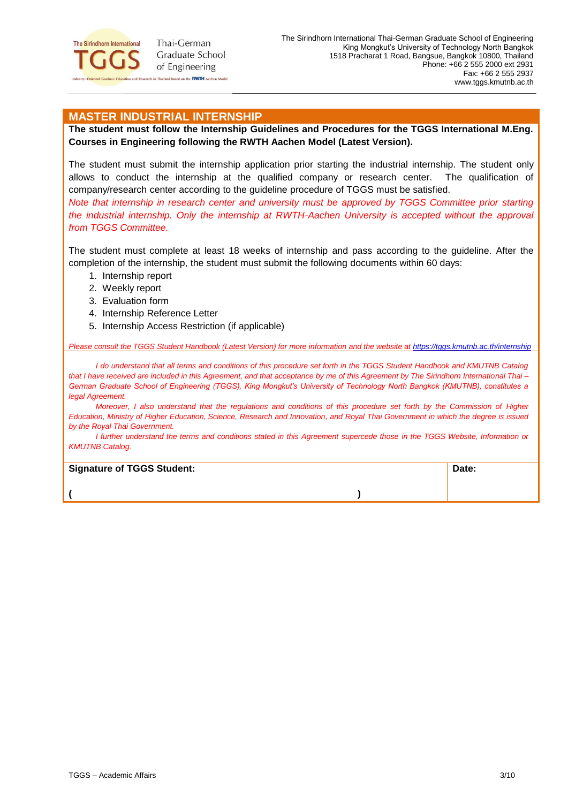

### **MASTER INDUSTRIAL INTERNSHIP**

**The student must follow the Internship Guidelines and Procedures for the TGGS International M.Eng. Courses in Engineering following the RWTH Aachen Model (Latest Version).**

The student must submit the internship application prior starting the industrial internship. The student only allows to conduct the internship at the qualified company or research center. The qualification of company/research center according to the guideline procedure of TGGS must be satisfied.

*Note that internship in research center and university must be approved by TGGS Committee prior starting the industrial internship. Only the internship at RWTH-Aachen University is accepted without the approval from TGGS Committee.*

The student must complete at least 18 weeks of internship and pass according to the guideline. After the completion of the internship, the student must submit the following documents within 60 days:

- 1. Internship report
- 2. Weekly report
- 3. Evaluation form
- 4. Internship Reference Letter
- 5. Internship Access Restriction (if applicable)

**( )**

Please consult the TGGS Student Handbook (Latest Version) for more information and the website a[t https://tggs.kmutnb.ac.th/internship](https://tggs.kmutnb.ac.th/internship)

*I do understand that all terms and conditions of this procedure set forth in the TGGS Student Handbook and KMUTNB Catalog that I have received are included in this Agreement, and that acceptance by me of this Agreement by The Sirindhorn International Thai – German Graduate School of Engineering (TGGS), King Mongkut's University of Technology North Bangkok (KMUTNB), constitutes a legal Agreement.* 

*Moreover, I also understand that the regulations and conditions of this procedure set forth by the Commission of Higher Education, Ministry of Higher Education, Science, Research and Innovation, and Royal Thai Government in which the degree is issued by the Royal Thai Government.*

*I further understand the terms and conditions stated in this Agreement supercede those in the TGGS Website, Information or KMUTNB Catalog.*

**Signature of TGGS Student:**

| $\sim$<br>. .<br>M.<br>۰. |
|---------------------------|
|                           |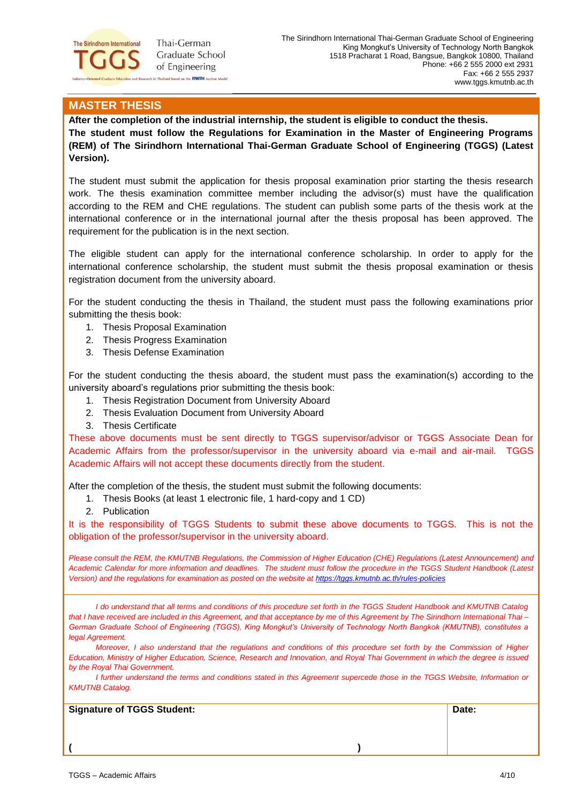

### **MASTER THESIS**

**After the completion of the industrial internship, the student is eligible to conduct the thesis. The student must follow the Regulations for Examination in the Master of Engineering Programs (REM) of The Sirindhorn International Thai-German Graduate School of Engineering (TGGS) (Latest Version).**

The student must submit the application for thesis proposal examination prior starting the thesis research work. The thesis examination committee member including the advisor(s) must have the qualification according to the REM and CHE regulations. The student can publish some parts of the thesis work at the international conference or in the international journal after the thesis proposal has been approved. The requirement for the publication is in the next section.

The eligible student can apply for the international conference scholarship. In order to apply for the international conference scholarship, the student must submit the thesis proposal examination or thesis registration document from the university aboard.

For the student conducting the thesis in Thailand, the student must pass the following examinations prior submitting the thesis book:

- 1. Thesis Proposal Examination
- 2. Thesis Progress Examination
- 3. Thesis Defense Examination

For the student conducting the thesis aboard, the student must pass the examination(s) according to the university aboard's regulations prior submitting the thesis book:

- 1. Thesis Registration Document from University Aboard
- 2. Thesis Evaluation Document from University Aboard
- 3. Thesis Certificate

These above documents must be sent directly to TGGS supervisor/advisor or TGGS Associate Dean for Academic Affairs from the professor/supervisor in the university aboard via e-mail and air-mail. TGGS Academic Affairs will not accept these documents directly from the student.

After the completion of the thesis, the student must submit the following documents:

1. Thesis Books (at least 1 electronic file, 1 hard-copy and 1 CD)

**( )**

2. Publication

It is the responsibility of TGGS Students to submit these above documents to TGGS. This is not the obligation of the professor/supervisor in the university aboard.

*Please consult the REM, the KMUTNB Regulations, the Commission of Higher Education (CHE) Regulations (Latest Announcement) and Academic Calendar for more information and deadlines. The student must follow the procedure in the TGGS Student Handbook (Latest Version) and the regulations for examination as posted on the website at<https://tggs.kmutnb.ac.th/rules-policies>*

*I do understand that all terms and conditions of this procedure set forth in the TGGS Student Handbook and KMUTNB Catalog that I have received are included in this Agreement, and that acceptance by me of this Agreement by The Sirindhorn International Thai – German Graduate School of Engineering (TGGS), King Mongkut's University of Technology North Bangkok (KMUTNB), constitutes a legal Agreement.* 

*Moreover, I also understand that the regulations and conditions of this procedure set forth by the Commission of Higher Education, Ministry of Higher Education, Science, Research and Innovation, and Royal Thai Government in which the degree is issued by the Royal Thai Government.*

*I further understand the terms and conditions stated in this Agreement supercede those in the TGGS Website, Information or KMUTNB Catalog.*

**Signature of TGGS Student:**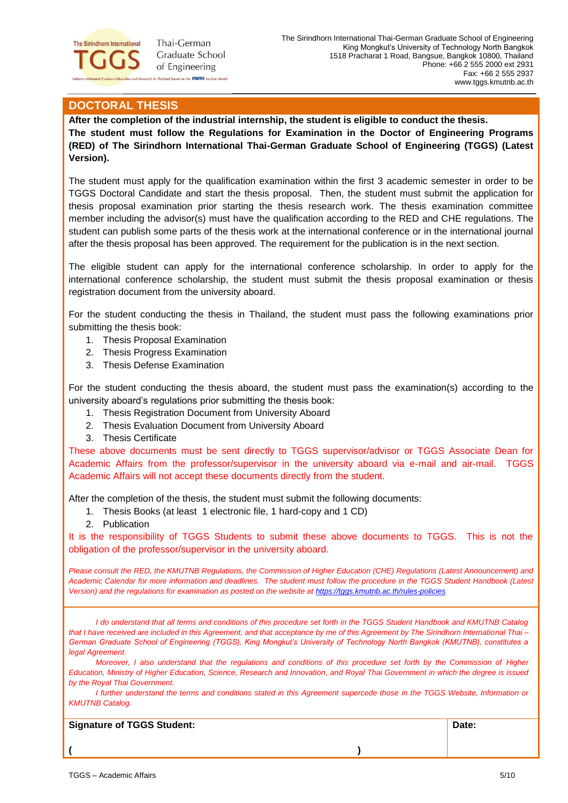

### **DOCTORAL THESIS**

**After the completion of the industrial internship, the student is eligible to conduct the thesis. The student must follow the Regulations for Examination in the Doctor of Engineering Programs (RED) of The Sirindhorn International Thai-German Graduate School of Engineering (TGGS) (Latest Version).**

The student must apply for the qualification examination within the first 3 academic semester in order to be TGGS Doctoral Candidate and start the thesis proposal. Then, the student must submit the application for thesis proposal examination prior starting the thesis research work. The thesis examination committee member including the advisor(s) must have the qualification according to the RED and CHE regulations. The student can publish some parts of the thesis work at the international conference or in the international journal after the thesis proposal has been approved. The requirement for the publication is in the next section.

The eligible student can apply for the international conference scholarship. In order to apply for the international conference scholarship, the student must submit the thesis proposal examination or thesis registration document from the university aboard.

For the student conducting the thesis in Thailand, the student must pass the following examinations prior submitting the thesis book:

- 1. Thesis Proposal Examination
- 2. Thesis Progress Examination
- 3. Thesis Defense Examination

For the student conducting the thesis aboard, the student must pass the examination(s) according to the university aboard's regulations prior submitting the thesis book:

- 1. Thesis Registration Document from University Aboard
- 2. Thesis Evaluation Document from University Aboard
- 3. Thesis Certificate

These above documents must be sent directly to TGGS supervisor/advisor or TGGS Associate Dean for Academic Affairs from the professor/supervisor in the university aboard via e-mail and air-mail. TGGS Academic Affairs will not accept these documents directly from the student.

After the completion of the thesis, the student must submit the following documents:

1. Thesis Books (at least 1 electronic file, 1 hard-copy and 1 CD)

**( )**

2. Publication

It is the responsibility of TGGS Students to submit these above documents to TGGS. This is not the obligation of the professor/supervisor in the university aboard.

*Please consult the RED, the KMUTNB Regulations, the Commission of Higher Education (CHE) Regulations (Latest Announcement) and Academic Calendar for more information and deadlines. The student must follow the procedure in the TGGS Student Handbook (Latest Version) and the regulations for examination as posted on the website at<https://tggs.kmutnb.ac.th/rules-policies>*

*I do understand that all terms and conditions of this procedure set forth in the TGGS Student Handbook and KMUTNB Catalog that I have received are included in this Agreement, and that acceptance by me of this Agreement by The Sirindhorn International Thai – German Graduate School of Engineering (TGGS), King Mongkut's University of Technology North Bangkok (KMUTNB), constitutes a legal Agreement.* 

*Moreover, I also understand that the regulations and conditions of this procedure set forth by the Commission of Higher Education, Ministry of Higher Education, Science, Research and Innovation, and Royal Thai Government in which the degree is issued by the Royal Thai Government.*

*I further understand the terms and conditions stated in this Agreement supercede those in the TGGS Website, Information or KMUTNB Catalog.*

**Signature of TGGS Student:**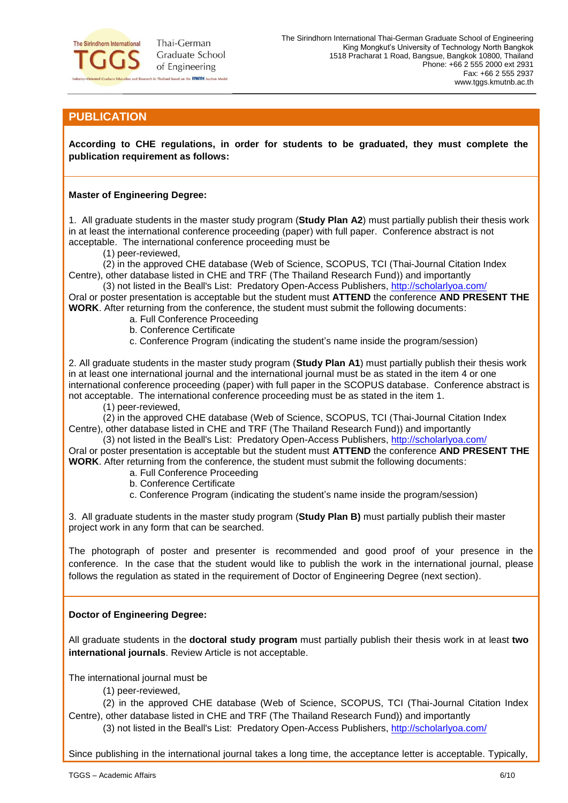

### **PUBLICATION**

**According to CHE regulations, in order for students to be graduated, they must complete the publication requirement as follows:**

#### **Master of Engineering Degree:**

1. All graduate students in the master study program (**Study Plan A2**) must partially publish their thesis work in at least the international conference proceeding (paper) with full paper. Conference abstract is not acceptable. The international conference proceeding must be

(1) peer-reviewed,

(2) in the approved CHE database (Web of Science, SCOPUS, TCI (Thai-Journal Citation Index Centre), other database listed in CHE and TRF (The Thailand Research Fund)) and importantly

(3) not listed in the Beall's List: Predatory Open-Access Publishers,<http://scholarlyoa.com/> Oral or poster presentation is acceptable but the student must **ATTEND** the conference **AND PRESENT THE WORK**. After returning from the conference, the student must submit the following documents:

- a. Full Conference Proceeding
- b. Conference Certificate
- c. Conference Program (indicating the student's name inside the program/session)

2. All graduate students in the master study program (**Study Plan A1**) must partially publish their thesis work in at least one international journal and the international journal must be as stated in the item 4 or one international conference proceeding (paper) with full paper in the SCOPUS database. Conference abstract is not acceptable. The international conference proceeding must be as stated in the item 1.

(1) peer-reviewed,

(2) in the approved CHE database (Web of Science, SCOPUS, TCI (Thai-Journal Citation Index Centre), other database listed in CHE and TRF (The Thailand Research Fund)) and importantly

(3) not listed in the Beall's List: Predatory Open-Access Publishers, <http://scholarlyoa.com/> Oral or poster presentation is acceptable but the student must **ATTEND** the conference **AND PRESENT THE WORK**. After returning from the conference, the student must submit the following documents:

- a. Full Conference Proceeding
- b. Conference Certificate

c. Conference Program (indicating the student's name inside the program/session)

3. All graduate students in the master study program (**Study Plan B)** must partially publish their master project work in any form that can be searched.

The photograph of poster and presenter is recommended and good proof of your presence in the conference. In the case that the student would like to publish the work in the international journal, please follows the regulation as stated in the requirement of Doctor of Engineering Degree (next section).

### **Doctor of Engineering Degree:**

All graduate students in the **doctoral study program** must partially publish their thesis work in at least **two international journals**. Review Article is not acceptable.

The international journal must be

- (1) peer-reviewed,
- (2) in the approved CHE database (Web of Science, SCOPUS, TCI (Thai-Journal Citation Index
- Centre), other database listed in CHE and TRF (The Thailand Research Fund)) and importantly
	- (3) not listed in the Beall's List: Predatory Open-Access Publishers, <http://scholarlyoa.com/>

Since publishing in the international journal takes a long time, the acceptance letter is acceptable. Typically,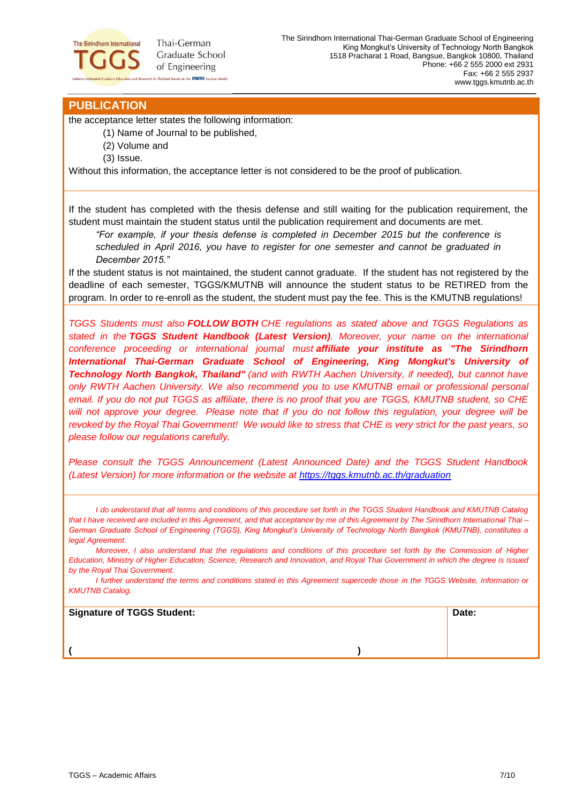

Thai-German Graduate School of Engineering in Thailand based on the **RWTH** Aachen Model

### **PUBLICATION**

the acceptance letter states the following information:

- (1) Name of Journal to be published,
- (2) Volume and
- (3) Issue.

Without this information, the acceptance letter is not considered to be the proof of publication.

If the student has completed with the thesis defense and still waiting for the publication requirement, the student must maintain the student status until the publication requirement and documents are met.

*"For example, if your thesis defense is completed in December 2015 but the conference is scheduled in April 2016, you have to register for one semester and cannot be graduated in December 2015."* 

If the student status is not maintained, the student cannot graduate. If the student has not registered by the deadline of each semester, TGGS/KMUTNB will announce the student status to be RETIRED from the program. In order to re-enroll as the student, the student must pay the fee. This is the KMUTNB regulations!

*TGGS Students must also FOLLOW BOTH CHE regulations as stated above and TGGS Regulations as stated in the TGGS Student Handbook (Latest Version). Moreover, your name on the international conference proceeding or international journal must affiliate your institute as "The Sirindhorn International Thai-German Graduate School of Engineering, King Mongkut's University of Technology North Bangkok, Thailand" (and with RWTH Aachen University, if needed), but cannot have only RWTH Aachen University. We also recommend you to use KMUTNB email or professional personal email. If you do not put TGGS as affiliate, there is no proof that you are TGGS, KMUTNB student, so CHE will not approve your degree. Please note that if you do not follow this regulation, your degree will be revoked by the Royal Thai Government! We would like to stress that CHE is very strict for the past years, so please follow our regulations carefully.*

*Please consult the TGGS Announcement (Latest Announced Date) and the TGGS Student Handbook (Latest Version) for more information or the website at<https://tggs.kmutnb.ac.th/graduation>*

*I do understand that all terms and conditions of this procedure set forth in the TGGS Student Handbook and KMUTNB Catalog that I have received are included in this Agreement, and that acceptance by me of this Agreement by The Sirindhorn International Thai – German Graduate School of Engineering (TGGS), King Mongkut's University of Technology North Bangkok (KMUTNB), constitutes a legal Agreement.* 

*Moreover, I also understand that the regulations and conditions of this procedure set forth by the Commission of Higher Education, Ministry of Higher Education, Science, Research and Innovation, and Royal Thai Government in which the degree is issued by the Royal Thai Government.*

*I further understand the terms and conditions stated in this Agreement supercede those in the TGGS Website, Information or KMUTNB Catalog.*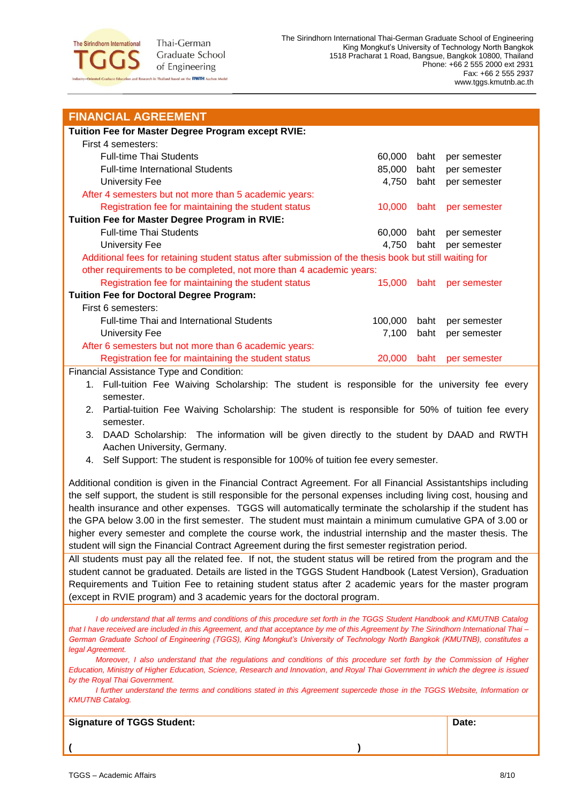

Thai-German Graduate School of Engineering Thailand based on the **RWTH** Aachen Model

| <b>FINANCIAL AGREEMENT</b>                                                                             |         |      |              |
|--------------------------------------------------------------------------------------------------------|---------|------|--------------|
| Tuition Fee for Master Degree Program except RVIE:                                                     |         |      |              |
| First 4 semesters:                                                                                     |         |      |              |
| <b>Full-time Thai Students</b>                                                                         | 60,000  | baht | per semester |
| <b>Full-time International Students</b>                                                                | 85,000  | baht | per semester |
| <b>University Fee</b>                                                                                  | 4,750   | baht | per semester |
| After 4 semesters but not more than 5 academic years:                                                  |         |      |              |
| Registration fee for maintaining the student status                                                    | 10,000  | baht | per semester |
| Tuition Fee for Master Degree Program in RVIE:                                                         |         |      |              |
| <b>Full-time Thai Students</b>                                                                         | 60,000  | baht | per semester |
| University Fee                                                                                         | 4.750   | baht | per semester |
| Additional fees for retaining student status after submission of the thesis book but still waiting for |         |      |              |
| other requirements to be completed, not more than 4 academic years:                                    |         |      |              |
| Registration fee for maintaining the student status                                                    | 15,000  | baht | per semester |
| <b>Tuition Fee for Doctoral Degree Program:</b>                                                        |         |      |              |
| First 6 semesters:                                                                                     |         |      |              |
| Full-time Thai and International Students                                                              | 100,000 | baht | per semester |
| University Fee                                                                                         | 7,100   | baht | per semester |
| After 6 semesters but not more than 6 academic years:                                                  |         |      |              |
| Registration fee for maintaining the student status                                                    | 20,000  | baht | per semester |
| Financial Assistance Type and Condition:                                                               |         |      |              |
| Full-tuition Eee Waiving Scholarship: The student is responsible for the university fee ever           |         |      |              |

1. Full-tuition Fee Waiving Scholarship: The student is responsible for the university fee every semester.

- 2. Partial-tuition Fee Waiving Scholarship: The student is responsible for 50% of tuition fee every semester.
- 3. DAAD Scholarship: The information will be given directly to the student by DAAD and RWTH Aachen University, Germany.
- 4. Self Support: The student is responsible for 100% of tuition fee every semester.

Additional condition is given in the Financial Contract Agreement. For all Financial Assistantships including the self support, the student is still responsible for the personal expenses including living cost, housing and health insurance and other expenses. TGGS will automatically terminate the scholarship if the student has the GPA below 3.00 in the first semester. The student must maintain a minimum cumulative GPA of 3.00 or higher every semester and complete the course work, the industrial internship and the master thesis. The student will sign the Financial Contract Agreement during the first semester registration period.

All students must pay all the related fee. If not, the student status will be retired from the program and the student cannot be graduated. Details are listed in the TGGS Student Handbook (Latest Version), Graduation Requirements and Tuition Fee to retaining student status after 2 academic years for the master program (except in RVIE program) and 3 academic years for the doctoral program.

*I do understand that all terms and conditions of this procedure set forth in the TGGS Student Handbook and KMUTNB Catalog that I have received are included in this Agreement, and that acceptance by me of this Agreement by The Sirindhorn International Thai – German Graduate School of Engineering (TGGS), King Mongkut's University of Technology North Bangkok (KMUTNB), constitutes a legal Agreement.* 

*Moreover, I also understand that the regulations and conditions of this procedure set forth by the Commission of Higher Education, Ministry of Higher Education, Science, Research and Innovation, and Royal Thai Government in which the degree is issued by the Royal Thai Government.*

*I further understand the terms and conditions stated in this Agreement supercede those in the TGGS Website, Information or KMUTNB Catalog.*

**Signature of TGGS Student:**

**( )**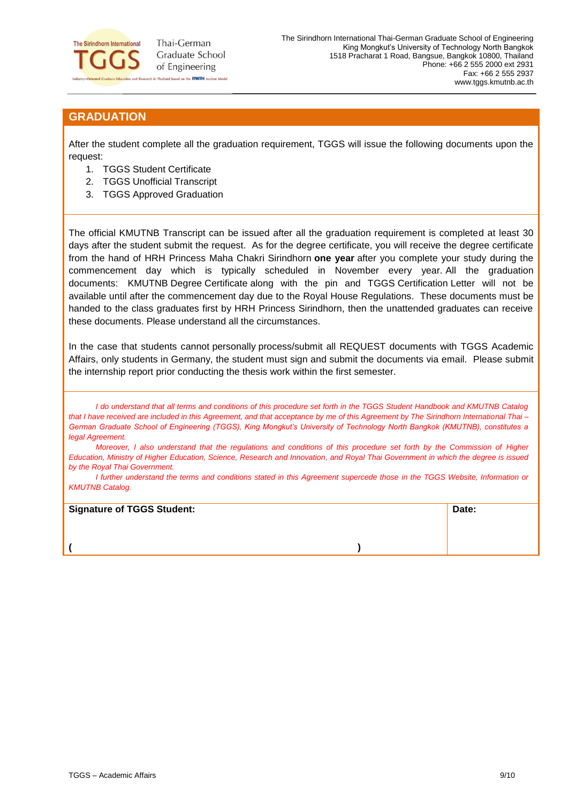

### **GRADUATION**

After the student complete all the graduation requirement, TGGS will issue the following documents upon the request:

- 1. TGGS Student Certificate
- 2. TGGS Unofficial Transcript
- 3. TGGS Approved Graduation

The official KMUTNB Transcript can be issued after all the graduation requirement is completed at least 30 days after the student submit the request. As for the degree certificate, you will receive the degree certificate from the hand of HRH Princess Maha Chakri Sirindhorn **one year** after you complete your study during the commencement day which is typically scheduled in November every year. All the graduation documents: KMUTNB Degree Certificate along with the pin and TGGS Certification Letter will not be available until after the commencement day due to the Royal House Regulations. These documents must be handed to the class graduates first by HRH Princess Sirindhorn, then the unattended graduates can receive these documents. Please understand all the circumstances.

In the case that students cannot personally process/submit all REQUEST documents with TGGS Academic Affairs, only students in Germany, the student must sign and submit the documents via email. Please submit the internship report prior conducting the thesis work within the first semester.

*I do understand that all terms and conditions of this procedure set forth in the TGGS Student Handbook and KMUTNB Catalog that I have received are included in this Agreement, and that acceptance by me of this Agreement by The Sirindhorn International Thai – German Graduate School of Engineering (TGGS), King Mongkut's University of Technology North Bangkok (KMUTNB), constitutes a legal Agreement.* 

*Moreover, I also understand that the regulations and conditions of this procedure set forth by the Commission of Higher Education, Ministry of Higher Education, Science, Research and Innovation, and Royal Thai Government in which the degree is issued by the Royal Thai Government.*

*I further understand the terms and conditions stated in this Agreement supercede those in the TGGS Website, Information or KMUTNB Catalog.*

| Signature of TGGS Student: | Date: |
|----------------------------|-------|
|                            |       |
|                            |       |